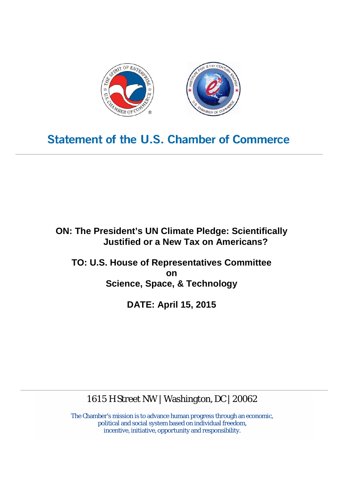

# **Statement of the U.S. Chamber of Commerce**

**ON: The President's UN Climate Pledge: Scientifically Justified or a New Tax on Americans?**

**TO: U.S. House of Representatives Committee on Science, Space, & Technology**

**DATE: April 15, 2015**

1615 H Street NW | Washington, DC | 20062

The Chamber's mission is to advance human progress through an economic, political and social system based on individual freedom, incentive, initiative, opportunity and responsibility.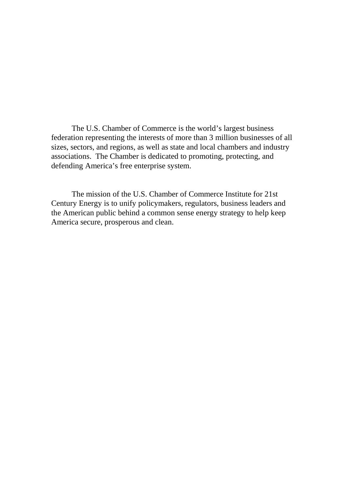The U.S. Chamber of Commerce is the world's largest business federation representing the interests of more than 3 million businesses of all sizes, sectors, and regions, as well as state and local chambers and industry associations. The Chamber is dedicated to promoting, protecting, and defending America's free enterprise system.

The mission of the U.S. Chamber of Commerce Institute for 21st Century Energy is to unify policymakers, regulators, business leaders and the American public behind a common sense energy strategy to help keep America secure, prosperous and clean.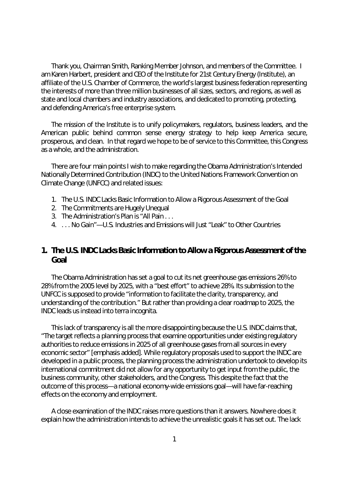Thank you, Chairman Smith, Ranking Member Johnson, and members of the Committee. I am Karen Harbert, president and CEO of the Institute for 21st Century Energy (Institute), an affiliate of the U.S. Chamber of Commerce, the world's largest business federation representing the interests of more than three million businesses of all sizes, sectors, and regions, as well as state and local chambers and industry associations, and dedicated to promoting, protecting, and defending America's free enterprise system.

The mission of the Institute is to unify policymakers, regulators, business leaders, and the American public behind common sense energy strategy to help keep America secure, prosperous, and clean. In that regard we hope to be of service to this Committee, this Congress as a whole, and the administration.

There are four main points I wish to make regarding the Obama Administration's Intended Nationally Determined Contribution (INDC) to the United Nations Framework Convention on Climate Change (UNFCC) and related issues:

- 1. The U.S. INDC Lacks Basic Information to Allow a Rigorous Assessment of the Goal
- 2. The Commitments are Hugely Unequal
- 3. The Administration's Plan is "All Pain . . .
- 4. . . . No Gain"—U.S. Industries and Emissions will Just "Leak" to Other Countries

### **1. The U.S. INDC Lacks Basic Information to Allow a Rigorous Assessment of the Goal**

The Obama Administration has set a goal to cut its net greenhouse gas emissions 26% to 28% from the 2005 level by 2025, with a "best effort" to achieve 28%. Its submission to the UNFCC is supposed to provide "information to facilitate the clarity, transparency, and understanding of the contribution." But rather than providing a clear roadmap to 2025, the INDC leads us instead into terra incognita.

This lack of transparency is all the more disappointing because the U.S. INDC claims that, "The target reflects *a planning process* that examine opportunities under existing regulatory authorities to reduce emissions in 2025 of all greenhouse gases from all sources in every economic sector" [emphasis added]. While regulatory proposals used to support the INDC are developed in a public process, the planning process the administration undertook to develop its international commitment did not allow for any opportunity to get input from the public, the business community, other stakeholders, and the Congress. This despite the fact that the outcome of this process—a national economy-wide emissions goal—will have far-reaching effects on the economy and employment.

A close examination of the INDC raises more questions than it answers. Nowhere does it explain how the administration intends to achieve the unrealistic goals it has set out. The lack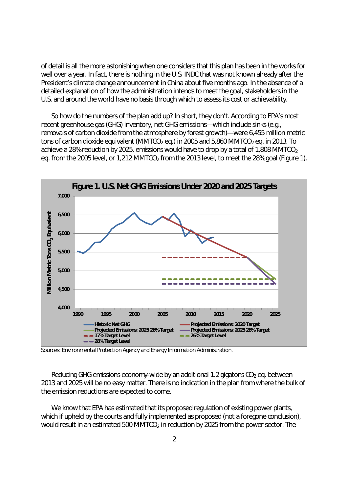of detail is all the more astonishing when one considers that this plan has been in the works for well over a year. In fact, there is nothing in the U.S. INDC that was not known already after the President's climate change announcement in China about five months ago. In the absence of a detailed explanation of how the administration intends to meet the goal, stakeholders in the U.S. and around the world have no basis through which to assess its cost or achievability.

So how do the numbers of the plan add up? In short, they don't. According to EPA's most recent greenhouse gas (GHG) inventory, net GHG emissions—which include sinks (e.g., removals of carbon dioxide from the atmosphere by forest growth)—were 6,455 million metric tons of carbon dioxide equivalent (MMTCO<sub>2</sub> eq.) in 2005 and 5,860 MMTCO<sub>2</sub> eq. in 2013. To achieve a 28% reduction by 2025, emissions would have to drop by a total of 1,808 MMTCO<sub>2</sub> eq. from the 2005 level, or 1,212 MMTCO<sub>2</sub> from the 2013 level, to meet the 28% goal (Figure 1).



Sources: Environmental Protection Agency and Energy Information Administration.

Reducing GHG emissions economy-wide by an additional 1.2 gigatons  $CO<sub>2</sub>$  eq. between 2013 and 2025 will be no easy matter. There is no indication in the plan from where the bulk of the emission reductions are expected to come.

We know that EPA has estimated that its proposed regulation of existing power plants, which *if* upheld by the courts and fully implemented as proposed (not a foregone conclusion), would result in an estimated 500 MMTCO<sub>2</sub> in reduction by 2025 from the power sector. The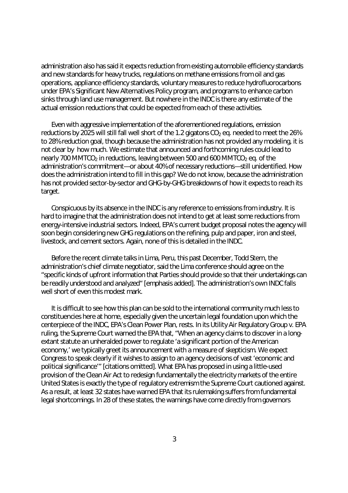administration also has said it expects reduction from existing automobile efficiency standards and new standards for heavy trucks, regulations on methane emissions from oil and gas operations, appliance efficiency standards, voluntary measures to reduce hydrofluorocarbons under EPA's Significant New Alternatives Policy program, and programs to enhance carbon sinks through land use management. But nowhere in the INDC is there any estimate of the actual emission reductions that could be expected from each of these activities.

Even with aggressive implementation of the aforementioned regulations, emission reductions by 2025 will still fall well short of the 1.2 gigatons  $CO<sub>2</sub>$  eg. needed to meet the 26% to 28% reduction goal, though because the administration has not provided any modeling, it is not clear by how much. We estimate that announced and forthcoming rules could lead to nearly 700 MMTCO<sub>2</sub> in reductions, leaving between 500 and 600 MMTCO<sub>2</sub> eq. of the administration's commitment—or about 40% of necessary reductions—still unidentified. How does the administration intend to fill in this gap? We do not know, because the administration has not provided sector-by-sector and GHG-by-GHG breakdowns of how it expects to reach its target.

Conspicuous by its absence in the INDC is any reference to emissions from industry. It is hard to imagine that the administration does not intend to get at least some reductions from energy-intensive industrial sectors. Indeed, EPA's current budget proposal notes the agency will soon begin considering new GHG regulations on the refining, pulp and paper, iron and steel, livestock, and cement sectors. Again, none of this is detailed in the INDC.

Before the recent climate talks in Lima, Peru, this past December, Todd Stern, the administration's chief climate negotiator, said the Lima conference should agree on the "specific kinds of upfront information that Parties should provide so that their undertakings *can be readily understood and analyzed*" [emphasis added]. The administration's own INDC falls well short of even this modest mark.

It is difficult to see how this plan can be sold to the international community much less to constituencies here at home, especially given the uncertain legal foundation upon which the centerpiece of the INDC, EPA's Clean Power Plan, rests. In its *Utility Air Regulatory Group v. EPA* ruling, the Supreme Court warned the EPA that, "When an agency claims to discover in a longextant statute an unheralded power to regulate 'a significant portion of the American economy,' we typically greet its announcement with a measure of skepticism. We expect Congress to speak clearly if it wishes to assign to an agency decisions of vast 'economic and political significance'" [citations omitted]. What EPA has proposed in using a little-used provision of the Clean Air Act to redesign fundamentally the electricity markets of the entire United States is exactly the type of regulatory extremism the Supreme Court cautioned against. As a result, at least 32 states have warned EPA that its rulemaking suffers from fundamental legal shortcomings. In 28 of these states, the warnings have come directly from governors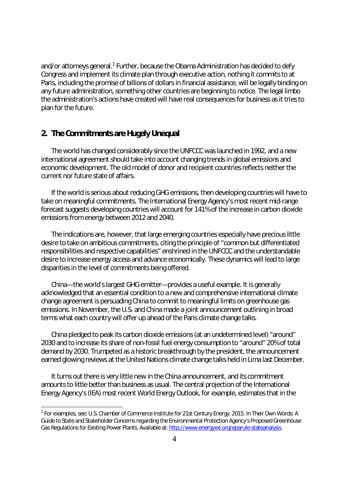and/or attorneys general.<sup>1</sup> Further, because the Obama Administration has decided to defy Congress and implement its climate plan through executive action, nothing it commits to at Paris, including the promise of billions of dollars in financial assistance, will be legally binding on any future administration, something other countries are beginning to notice. The legal limbo the administration's actions have created will have real consequences for business as it tries to plan for the future.

#### **2. The Commitments are Hugely Unequal**

The world has changed considerably since the UNFCCC was launched in 1992, and a new international agreement should take into account changing trends in global emissions and economic development. The old model of donor and recipient countries reflects neither the current nor future state of affairs.

If the world is serious about reducing GHG emissions, then developing countries will have to take on meaningful commitments. The International Energy Agency's most recent mid-range forecast suggests developing countries will account for 141% of the increase in carbon dioxide emissions from energy between 2012 and 2040.

The indications are, however, that large emerging countries especially have precious little desire to take on ambitious commitments, citing the principle of "common but differentiated responsibilities and respective capabilities" enshrined in the UNFCCC and the understandable desire to increase energy access and advance economically. These dynamics will lead to large disparities in the level of commitments being offered.

China—the world's largest GHG emitter—provides a useful example. It is generally acknowledged that an essential condition to a new and comprehensive international climate change agreement is persuading China to commit to meaningful limits on greenhouse gas emissions. In November, the U.S. and China made a joint announcement outlining in broad terms what each country will offer up ahead of the Paris climate change talks.

China pledged to peak its carbon dioxide emissions (at an undetermined level) "around" 2030 and to increase its share of non-fossil fuel energy consumption to "around" 20% of total demand by 2030. Trumpeted as a historic breakthrough by the president, the announcement earned glowing reviews at the United Nations climate change talks held in Lima last December.

It turns out there is very little new in the China announcement, and its commitment amounts to little better than business as usual. The central projection of the International Energy Agency's (IEA) most recent *World Energy Outlook*, for example, estimates that in the

<sup>1</sup> For examples, see: U.S. Chamber of Commerce Institute for 21st Century Energy. 2015. *In Their Own Words: A Guide to State and Stakeholder Concerns regarding the Environmental Protection Agency's Proposed Greenhouse Gas Regulations for Existing Power Plants*. Available at: http://www.energyxxi.org/eparule-stateanalysis.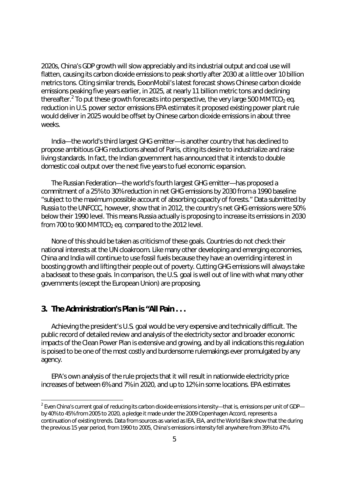2020s, China's GDP growth will slow appreciably and its industrial output and coal use will flatten, causing its carbon dioxide emissions to peak shortly after 2030 at a little over 10 billion metrics tons. Citing similar trends, ExxonMobil's latest forecast shows Chinese carbon dioxide emissions peaking five years earlier, in 2025, at nearly 11 billion metric tons and declining thereafter.<sup>2</sup> To put these growth forecasts into perspective, the very large 500 MMTCO<sub>2</sub> eq. reduction in U.S. power sector emissions EPA estimates it proposed existing power plant rule would deliver in 2025 would be offset by Chinese carbon dioxide emissions in about three weeks.

India—the world's third largest GHG emitter—is another country that has declined to propose ambitious GHG reductions ahead of Paris, citing its desire to industrialize and raise living standards. In fact, the Indian government has announced that it intends to double domestic coal output over the next five years to fuel economic expansion.

The Russian Federation—the world's fourth largest GHG emitter—has proposed a commitment of a 25% to 30% reduction in net GHG emissions by 2030 from a 1990 baseline "subject to the maximum possible account of absorbing capacity of forests." Data submitted by Russia to the UNFCCC, however, show that in 2012, the country's net GHG emissions were 50% below their 1990 level. This means Russia actually is proposing to *increase* its emissions in 2030 from 700 to 900 MMTCO<sub>2</sub> eq. compared to the 2012 level.

None of this should be taken as criticism of these goals. Countries do not check their national interests at the UN cloakroom. Like many other developing and emerging economies, China and India will continue to use fossil fuels because they have an overriding interest in boosting growth and lifting their people out of poverty. Cutting GHG emissions will always take a backseat to these goals. In comparison, the U.S. goal is well out of line with what many other governments (except the European Union) are proposing.

#### **3. The Administration's Plan is "All Pain . . .**

Achieving the president's U.S. goal would be very expensive and technically difficult. The public record of detailed review and analysis of the electricity sector and broader economic impacts of the Clean Power Plan is extensive and growing, and by all indications this regulation is poised to be one of the most costly and burdensome rulemakings ever promulgated by any agency.

EPA's own analysis of the rule projects that it will result in nationwide electricity price increases of between 6% and 7% in 2020, and up to 12% in some locations. EPA estimates

 $^2$  Even China's current goal of reducing its carbon dioxide emissions intensity—that is, emissions per unit of GDP by 40% to 45% from 2005 to 2020, a pledge it made under the 2009 Copenhagen Accord, represents a continuation of existing trends. Data from sources as varied as IEA, EIA, and the World Bank show that the during the previous 15 year period, from 1990 to 2005, China's emissions intensity fell anywhere from 39% to 47%.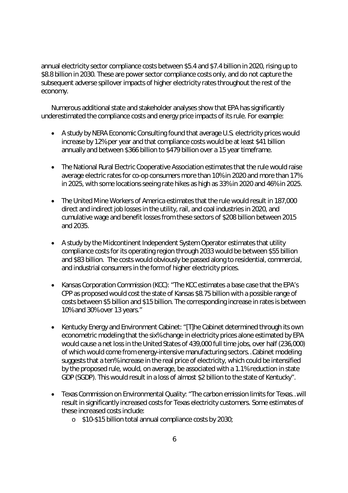annual electricity sector compliance costs between \$5.4 and \$7.4 billion in 2020, rising up to \$8.8 billion in 2030. These are power sector compliance costs only, and do not capture the subsequent adverse spillover impacts of higher electricity rates throughout the rest of the economy.

Numerous additional state and stakeholder analyses show that EPA has significantly underestimated the compliance costs and energy price impacts of its rule. For example:

- A study by NERA Economic Consulting found that average U.S. electricity prices would increase by 12% per year and that compliance costs would be at least \$41 billion annually and between \$366 billion to \$479 billion over a 15 year timeframe.
- The National Rural Electric Cooperative Association estimates that the rule would raise average electric rates for co-op consumers more than 10% in 2020 and more than 17% in 2025, with some locations seeing rate hikes as high as 33% in 2020 and 46% in 2025.
- The United Mine Workers of America estimates that the rule would result in 187,000 direct and indirect job losses in the utility, rail, and coal industries in 2020, and cumulative wage and benefit losses from these sectors of \$208 billion between 2015 and 2035.
- A study by the Midcontinent Independent System Operator estimates that utility compliance costs for its operating region through 2033 would be between \$55 billion and \$83 billion. The costs would obviously be passed along to residential, commercial, and industrial consumers in the form of higher electricity prices.
- Kansas Corporation Commission (KCC): "The KCC estimates a base case that the EPA's CPP as proposed would cost the state of Kansas \$8.75 billion with a possible range of costs between \$5 billion and \$15 billion. The corresponding increase in rates is between 10% and 30% over 13 years."
- Kentucky Energy and Environment Cabinet: "[T]he Cabinet determined through its own econometric modeling that the six% change in electricity prices alone estimated by EPA would cause a net loss in the United States of 439,000 full time jobs, over half (236,000) of which would come from energy-intensive manufacturing sectors…Cabinet modeling suggests that a ten% increase in the real price of electricity, which could be intensified by the proposed rule, would, on average, be associated with a 1.1% reduction in state GDP (SGDP). This would result in a loss of almost \$2 billion to the state of Kentucky".
- Texas Commission on Environmental Quality: "The carbon emission limits for Texas…will result in significantly increased costs for Texas electricity customers. Some estimates of these increased costs include:
	- o \$10-\$15 billion total annual compliance costs by 2030;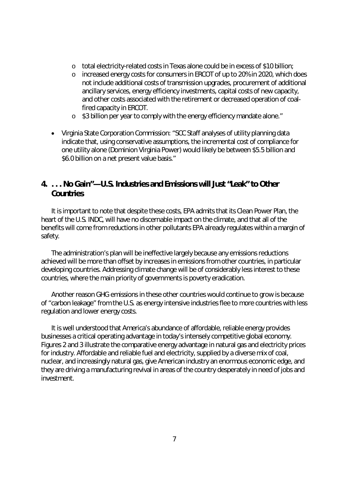- o total electricity-related costs in Texas alone could be in excess of \$10 billion;
- o increased energy costs for consumers in ERCOT of up to 20% in 2020, which does not include additional costs of transmission upgrades, procurement of additional ancillary services, energy efficiency investments, capital costs of new capacity, and other costs associated with the retirement or decreased operation of coalfired capacity in ERCOT.
- o \$3 billion per year to comply with the energy efficiency mandate alone."
- Virginia State Corporation Commission: "SCC Staff analyses of utility planning data indicate that, using conservative assumptions, the incremental cost of compliance for one utility alone (Dominion Virginia Power) would likely be between \$5.5 billion and \$6.0 billion on a net present value basis."

## **4. . . . No Gain"—U.S. Industries and Emissions will Just "Leak" to Other Countries**

It is important to note that despite these costs, EPA admits that its Clean Power Plan, the heart of the U.S. INDC, will have no discernable impact on the climate, and that all of the benefits will come from reductions in other pollutants EPA already regulates within a margin of safety.

The administration's plan will be ineffective largely because any emissions reductions achieved will be more than offset by increases in emissions from other countries, in particular developing countries. Addressing climate change will be of considerably less interest to these countries, where the main priority of governments is poverty eradication.

Another reason GHG emissions in these other countries would continue to grow is because of "carbon leakage" from the U.S. as energy intensive industries flee to more countries with less regulation and lower energy costs.

It is well understood that America's abundance of affordable, reliable energy provides businesses a critical operating advantage in today's intensely competitive global economy. Figures 2 and 3 illustrate the comparative energy advantage in natural gas and electricity prices for industry. Affordable and reliable fuel and electricity, supplied by a diverse mix of coal, nuclear, and increasingly natural gas, give American industry an enormous economic edge, and they are driving a manufacturing revival in areas of the country desperately in need of jobs and investment.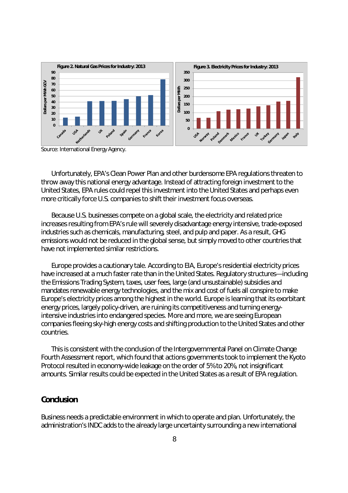

Source: International Energy Agency.

Unfortunately, EPA's Clean Power Plan and other burdensome EPA regulations threaten to throw away this national energy advantage. Instead of attracting foreign investment to the United States, EPA rules could repel this investment into the United States and perhaps even more critically force U.S. companies to shift their investment focus overseas.

Because U.S. businesses compete on a global scale, the electricity and related price increases resulting from EPA's rule will severely disadvantage energy intensive, trade-exposed industries such as chemicals, manufacturing, steel, and pulp and paper. As a result, GHG emissions would not be reduced in the global sense, but simply *moved* to other countries that have not implemented similar restrictions.

Europe provides a cautionary tale. According to EIA, Europe's residential electricity prices have increased at a much faster rate than in the United States. Regulatory structures—including the Emissions Trading System, taxes, user fees, large (and unsustainable) subsidies and mandates renewable energy technologies, and the mix and cost of fuels all conspire to make Europe's electricity prices among the highest in the world. Europe is learning that its exorbitant energy prices, largely policy-driven, are ruining its competitiveness and turning energyintensive industries into endangered species. More and more, we are seeing European companies fleeing sky-high energy costs and shifting production to the United States and other countries.

This is consistent with the conclusion of the Intergovernmental Panel on Climate Change Fourth Assessment report, which found that actions governments took to implement the Kyoto Protocol resulted in economy-wide leakage on the order of 5% to 20%, not insignificant amounts. Similar results could be expected in the United States as a result of EPA regulation.

#### **Conclusion**

Business needs a predictable environment in which to operate and plan. Unfortunately, the administration's INDC adds to the already large uncertainty surrounding a new international